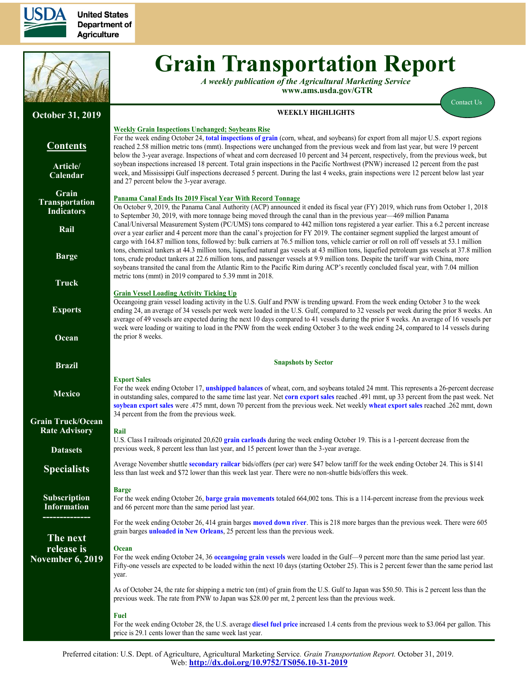

**United States Department of Agriculture** 



# **Grain Transportation Report**

*A weekly publication of the Agricultural Marketing Service*  **www.ams.usda.gov/GTR**

[Contact Us](mailto:Surajudeen.Olowolayemo@ams.usda.gov) 

#### **October 31, 2019 Contents [Article/](#page-1-0) [Calendar](#page-1-0) [Grain](#page-2-0) [Transportation](#page-2-0) [Indicators](#page-2-0) [Rail](#page-4-0) [Barge](#page-10-0) [Truck](#page-13-0) [Exports](#page-14-0) [Ocean](#page-18-0) [Brazil](https://www.ams.usda.gov/services/transportation-analysis/brazil) [Mexico](https://www.ams.usda.gov/services/transportation-analysis/mexico) [Grain Truck/Ocean](https://www.ams.usda.gov/services/transportation-analysis/gtor) [Rate Advisory](https://www.ams.usda.gov/services/transportation-analysis/gtor) [Datase](https://www.ams.usda.gov/services/transportation-analysis/gtr-datasets)ts [Specialists](#page-21-0) [Subscription](#page-21-0)  [Information](#page-21-0) -------------- The next release is November 6, 2019 WEEKLY HIGHLIGHTS Weekly Grain Inspections Unchanged; Soybeans Rise** For the week ending October 24, **[total inspections of grain](#page-16-0)** (corn, wheat, and soybeans) for export from all major U.S. export regions reached 2.58 million metric tons (mmt). Inspections were unchanged from the previous week and from last year, but were 19 percent below the 3-year average. Inspections of wheat and corn decreased 10 percent and 34 percent, respectively, from the previous week, but soybean inspections increased 18 percent. Total grain inspections in the Pacific Northwest (PNW) increased 12 percent from the past week, and Mississippi Gulf inspections decreased 5 percent. During the last 4 weeks, grain inspections were 12 percent below last year and 27 percent below the 3-year average. **Panama Canal Ends Its 2019 Fiscal Year With Record Tonnage** On October 9, 2019, the Panama Canal Authority (ACP) announced it ended its fiscal year (FY) 2019, which runs from October 1, 2018 to September 30, 2019, with more tonnage being moved through the canal than in the previous year—469 million Panama Canal/Universal Measurement System (PC/UMS) tons compared to 442 million tons registered a year earlier. This a 6.2 percent increase over a year earlier and 4 percent more than the canal's projection for FY 2019. The container segment supplied the largest amount of cargo with 164.87 million tons, followed by: bulk carriers at 76.5 million tons, vehicle carrier or roll on roll off vessels at 53.1 million tons, chemical tankers at 44.3 million tons, liquefied natural gas vessels at 43 million tons, liquefied petroleum gas vessels at 37.8 million tons, crude product tankers at 22.6 million tons, and passenger vessels at 9.9 million tons. Despite the tariff war with China, more soybeans transited the canal from the Atlantic Rim to the Pacific Rim during ACP's recently concluded fiscal year, with 7.04 million metric tons (mmt) in 2019 compared to 5.39 mmt in 2018. **Grain Vessel Loading Activity Ticking Up** Oceangoing grain vessel loading activity in the U.S. Gulf and PNW is trending upward. From the week ending October 3 to the week ending 24, an average of 34 vessels per week were loaded in the U.S. Gulf, compared to 32 vessels per week during the prior 8 weeks. An average of 49 vessels are expected during the next 10 days compared to 41 vessels during the prior 8 weeks. An average of 16 vessels per week were loading or waiting to load in the PNW from the week ending October 3 to the week ending 24, compared to 14 vessels during the prior 8 weeks. **Snapshots by Sector Export Sales** For the week ending October 17, **[unshipped balances](#page-14-1)** of wheat, corn, and soybeans totaled 24 mmt. This represents a 26-percent decrease in outstanding sales, compared to the same time last year. Net **[corn export sales](#page-14-1)** reached .491 mmt, up 33 percent from the past week. Net **[soybean export sales](#page-15-0)** were .475 mmt, down 70 percent from the previous week. Net weekly **[wheat export sales](#page-15-0)** reached .262 mmt, down 34 percent from the from the previous week. **Rail** U.S. Class I railroads originated 20,620 **[grain carloads](#page-5-0)** during the week ending October 19. This is a 1-percent decrease from the previous week, 8 percent less than last year, and 15 percent lower than the 3-year average. Average November shuttle **[secondary railcar](#page-7-0)** bids/offers (per car) were \$47 below tariff for the week ending October 24. This is \$141 less than last week and \$72 lower than this week last year. There were no non-shuttle bids/offers this week. **Barge** For the week ending October 26, **[barge grain movements](#page-11-0)** totaled 664,002 tons. This is a 114-percent increase from the previous week and 66 percent more than the same period last year. For the week ending October 26, 414 grain barges **[moved down river](#page-12-0)**. This is 218 more barges than the previous week. There were 605 grain barges **[unloaded in New Orleans](#page-12-0)**, 25 percent less than the previous week. **Ocean** For the week ending October 24, 36 **[oceangoing grain vessels](#page-18-1)** were loaded in the Gulf—9 percent more than the same period last year. Fifty-one vessels are expected to be loaded within the next 10 days (starting October 25). This is 2 percent fewer than the same period last year. As of October 24, the rate for shipping a metric ton (mt) of grain from the U.S. Gulf to Japan was \$50.50. This is 2 percent less than the previous week. The rate from PNW to Japan was \$28.00 per mt, 2 percent less than the previous week. **Fuel** For the week ending October 28, the U.S. average **[diesel fuel price](#page-13-1)** increased 1.4 cents from the previous week to \$3.064 per gallon. This price is 29.1 cents lower than the same week last year.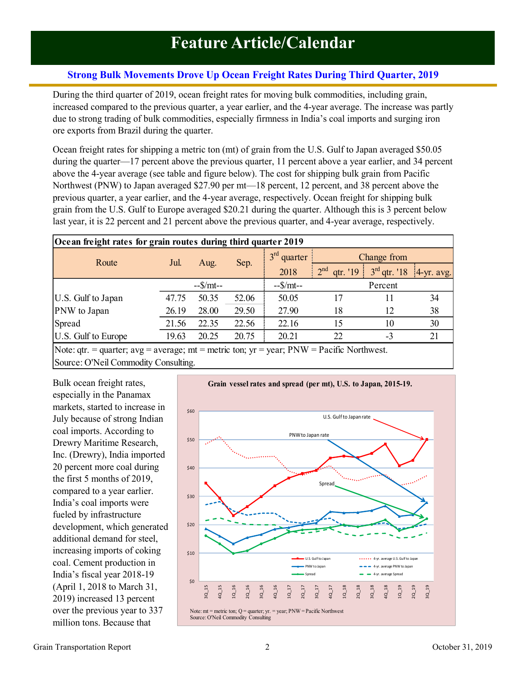# <span id="page-1-0"></span>**Strong Bulk Movements Drove Up Ocean Freight Rates During Third Quarter, 2019**

During the third quarter of 2019, ocean freight rates for moving bulk commodities, including grain, increased compared to the previous quarter, a year earlier, and the 4-year average. The increase was partly due to strong trading of bulk commodities, especially firmness in India's coal imports and surging iron ore exports from Brazil during the quarter.

Ocean freight rates for shipping a metric ton (mt) of grain from the U.S. Gulf to Japan averaged \$50.05 during the quarter—17 percent above the previous quarter, 11 percent above a year earlier, and 34 percent above the 4-year average (see table and figure below). The cost for shipping bulk grain from Pacific Northwest (PNW) to Japan averaged \$27.90 per mt—18 percent, 12 percent, and 38 percent above the previous quarter, a year earlier, and the 4-year average, respectively. Ocean freight for shipping bulk grain from the U.S. Gulf to Europe averaged \$20.21 during the quarter. Although this is 3 percent below last year, it is 22 percent and 21 percent above the previous quarter, and 4-year average, respectively.

| Ocean freight rates for grain routes during third quarter 2019 |            |       |       |                            |                             |                |               |  |
|----------------------------------------------------------------|------------|-------|-------|----------------------------|-----------------------------|----------------|---------------|--|
| Route                                                          | Jul.       | Aug.  |       | 3 <sup>rd</sup><br>quarter | Change from                 |                |               |  |
|                                                                |            |       | Sep.  | 2018                       | 2 <sup>nd</sup><br>qtr. '19 | $3rd$ qtr. '18 | $ 4-yr.$ avg. |  |
|                                                                | $-S/mt$ -- |       |       | $-S/mt$ --                 | Percent                     |                |               |  |
| U.S. Gulf to Japan                                             | 47.75      | 50.35 | 52.06 | 50.05                      | 17                          |                | 34            |  |
| PNW to Japan                                                   | 26.19      | 28.00 | 29.50 | 27.90                      | 18                          | 12             | 38            |  |
| Spread                                                         | 21.56      | 22.35 | 22.56 | 22.16                      | 15                          | 10             | 30            |  |
| U.S. Gulf to Europe                                            | 19.63      | 20.25 | 20.75 | 20.21                      | 22                          | $-3$           |               |  |
|                                                                |            |       |       |                            |                             |                |               |  |

Note:  $gtr. = quarter$ ;  $avg = average$ ;  $mt = metric$  ton;  $yr = year$ ;  $PNW = Pacific$  Northwest. Source: O'Neil Commodity Consulting.

Bulk ocean freight rates, especially in the Panamax markets, started to increase in July because of strong Indian coal imports. According to Drewry Maritime Research, Inc. (Drewry), India imported 20 percent more coal during the first 5 months of 2019, compared to a year earlier. India's coal imports were fueled by infrastructure development, which generated additional demand for steel, increasing imports of coking coal. Cement production in India's fiscal year 2018-19 (April 1, 2018 to March 31, 2019) increased 13 percent over the previous year to 337 million tons. Because that

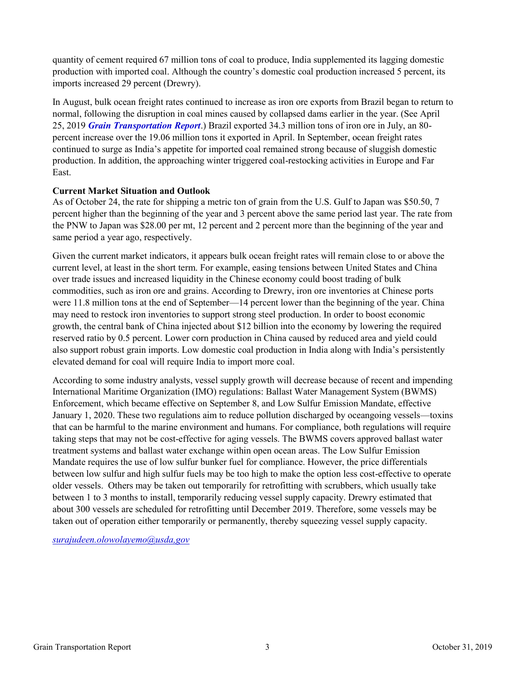<span id="page-2-0"></span>quantity of cement required 67 million tons of coal to produce, India supplemented its lagging domestic production with imported coal. Although the country's domestic coal production increased 5 percent, its imports increased 29 percent (Drewry).

In August, bulk ocean freight rates continued to increase as iron ore exports from Brazil began to return to normal, following the disruption in coal mines caused by collapsed dams earlier in the year. (See April 25, 2019 *[Grain Transportation Report](https://www.ams.usda.gov/sites/default/files/media/GTR04252019.pdf#page=2)*.) Brazil exported 34.3 million tons of iron ore in July, an 80 percent increase over the 19.06 million tons it exported in April. In September, ocean freight rates continued to surge as India's appetite for imported coal remained strong because of sluggish domestic production. In addition, the approaching winter triggered coal-restocking activities in Europe and Far East.

### **Current Market Situation and Outlook**

As of October 24, the rate for shipping a metric ton of grain from the U.S. Gulf to Japan was \$50.50, 7 percent higher than the beginning of the year and 3 percent above the same period last year. The rate from the PNW to Japan was \$28.00 per mt, 12 percent and 2 percent more than the beginning of the year and same period a year ago, respectively.

Given the current market indicators, it appears bulk ocean freight rates will remain close to or above the current level, at least in the short term. For example, easing tensions between United States and China over trade issues and increased liquidity in the Chinese economy could boost trading of bulk commodities, such as iron ore and grains. According to Drewry, iron ore inventories at Chinese ports were 11.8 million tons at the end of September—14 percent lower than the beginning of the year. China may need to restock iron inventories to support strong steel production. In order to boost economic growth, the central bank of China injected about \$12 billion into the economy by lowering the required reserved ratio by 0.5 percent. Lower corn production in China caused by reduced area and yield could also support robust grain imports. Low domestic coal production in India along with India's persistently elevated demand for coal will require India to import more coal.

According to some industry analysts, vessel supply growth will decrease because of recent and impending International Maritime Organization (IMO) regulations: Ballast Water Management System (BWMS) Enforcement, which became effective on September 8, and Low Sulfur Emission Mandate, effective January 1, 2020. These two regulations aim to reduce pollution discharged by oceangoing vessels—toxins that can be harmful to the marine environment and humans. For compliance, both regulations will require taking steps that may not be cost-effective for aging vessels. The BWMS covers approved ballast water treatment systems and ballast water exchange within open ocean areas. The Low Sulfur Emission Mandate requires the use of low sulfur bunker fuel for compliance. However, the price differentials between low sulfur and high sulfur fuels may be too high to make the option less cost-effective to operate older vessels. Others may be taken out temporarily for retrofitting with scrubbers, which usually take between 1 to 3 months to install, temporarily reducing vessel supply capacity. Drewry estimated that about 300 vessels are scheduled for retrofitting until December 2019. Therefore, some vessels may be taken out of operation either temporarily or permanently, thereby squeezing vessel supply capacity.

*surajudeen.olowolayemo@usda,gov*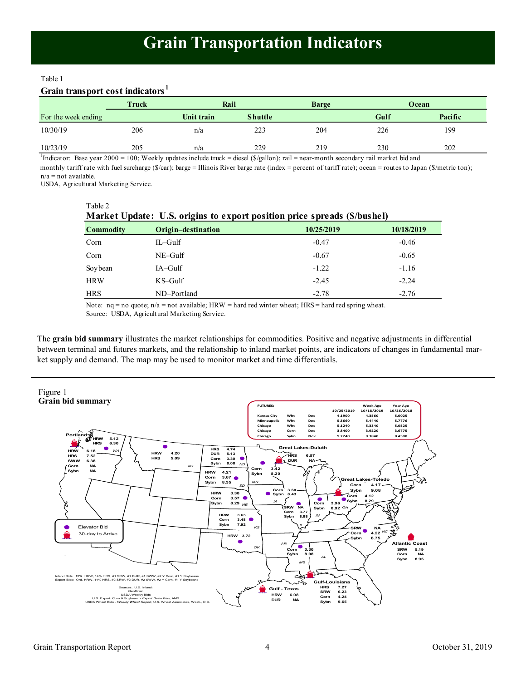#### Table 1

# **Grain transport cost indicators <sup>1</sup>**

|                     | <b>Truck</b> | Rail       |                | <b>Barge</b> |      | Ocean   |
|---------------------|--------------|------------|----------------|--------------|------|---------|
| For the week ending |              | Unit train | <b>Shuttle</b> |              | Gulf | Pacific |
| 10/30/19            | 206          | n/a        | 223            | 204          | 226  | 199     |
| 10/23/19            | 205          | n/a        | 229            | 219          | 230  | 202     |

 $n/a$  = not available. 1 Indicator: Base year 2000 = 100; Weekly updates include truck = diesel (\$/gallon); rail = near-month secondary rail market bid and monthly tariff rate with fuel surcharge (\$/car); barge = Illinois River barge rate (index = percent of tariff rate); ocean = routes to Japan (\$/metric ton);

USDA, Agricultural Marketing Service.

Table 2

| Market Update: U.S. origins to export position price spreads (\$/bushel) |                    |            |            |  |  |  |
|--------------------------------------------------------------------------|--------------------|------------|------------|--|--|--|
| <b>Commodity</b>                                                         | Origin-destination | 10/25/2019 | 10/18/2019 |  |  |  |
| Corn                                                                     | IL-Gulf            | $-0.47$    | $-0.46$    |  |  |  |
| Corn                                                                     | $NE-Gulf$          | $-0.67$    | $-0.65$    |  |  |  |
| Soybean                                                                  | $IA-Gulf$          | $-1.22$    | $-1.16$    |  |  |  |
| <b>HRW</b>                                                               | KS-Gulf            | $-2.45$    | $-2.24$    |  |  |  |
| <b>HRS</b>                                                               | ND-Portland        | $-2.78$    | $-2.76$    |  |  |  |

Note:  $nq = no$  quote;  $n/a = not$  available; HRW = hard red winter wheat; HRS = hard red spring wheat.

Source: USDA, Agricultural Marketing Service.

The **grain bid summary** illustrates the market relationships for commodities. Positive and negative adjustments in differential between terminal and futures markets, and the relationship to inland market points, are indicators of changes in fundamental market supply and demand. The map may be used to monitor market and time differentials.

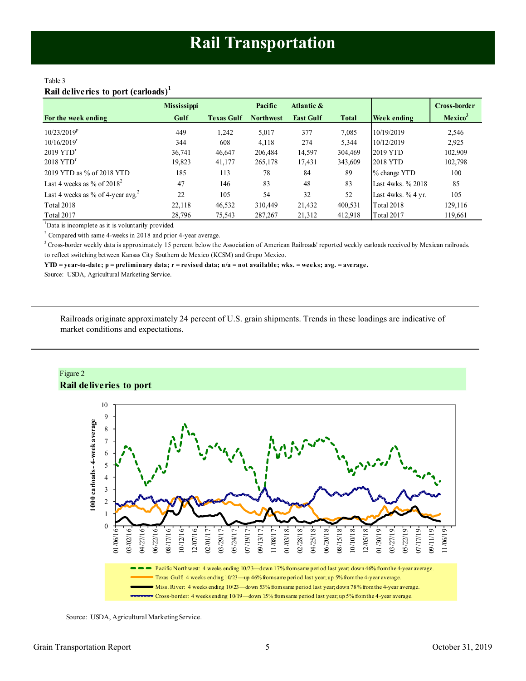#### <span id="page-4-0"></span>Table 3 **Rail deliveries to port (carloads)<sup>1</sup>**

|                                               | <b>Mississippi</b> |                   | Pacific          | Atlantic &       |              |                     | Cross-border        |
|-----------------------------------------------|--------------------|-------------------|------------------|------------------|--------------|---------------------|---------------------|
| For the week ending                           | Gulf               | <b>Texas Gulf</b> | <b>Northwest</b> | <b>East Gulf</b> | <b>Total</b> | Week ending         | Mexico <sup>3</sup> |
| $10/23/2019^p$                                | 449                | 1.242             | 5,017            | 377              | 7,085        | 10/19/2019          | 2,546               |
| 10/16/2019 <sup>r</sup>                       | 344                | 608               | 4,118            | 274              | 5,344        | 10/12/2019          | 2,925               |
| $2019$ $YTDr$                                 | 36,741             | 46,647            | 206,484          | 14,597           | 304,469      | 2019 YTD            | 102,909             |
| $2018$ $YTDr$                                 | 19,823             | 41,177            | 265,178          | 17,431           | 343,609      | 2018 YTD            | 102,798             |
| 2019 YTD as % of 2018 YTD                     | 185                | 113               | 78               | 84               | 89           | % change YTD        | 100                 |
| Last 4 weeks as % of $2018^2$                 | 47                 | 146               | 83               | 48               | 83           | Last 4wks, % 2018   | 85                  |
| Last 4 weeks as % of 4-year avg. <sup>2</sup> | 22                 | 105               | 54               | 32               | 52           | Last 4wks. $%4$ yr. | 105                 |
| Total 2018                                    | 22,118             | 46,532            | 310,449          | 21,432           | 400,531      | <b>Total 2018</b>   | 129,116             |
| Total 2017                                    | 28,796             | 75,543            | 287,267          | 21,312           | 412,918      | Total 2017          | 119,661             |

<sup>1</sup>Data is incomplete as it is voluntarily provided.

 $2$  Compared with same 4-weeks in 2018 and prior 4-year average.

<sup>3</sup> Cross-border weekly data is approximately 15 percent below the Association of American Railroads' reported weekly carloads received by Mexican railroads. to reflect switching between Kansas City Southern de Mexico (KCSM) and Grupo Mexico.

**YTD = year-to-date; p = preliminary data; r = revised data; n/a = not available; wks. = weeks; avg. = average.**

Source: USDA, Agricultural Marketing Service.

Railroads originate approximately 24 percent of U.S. grain shipments. Trends in these loadings are indicative of market conditions and expectations.





Source: USDA, Agricultural Marketing Service.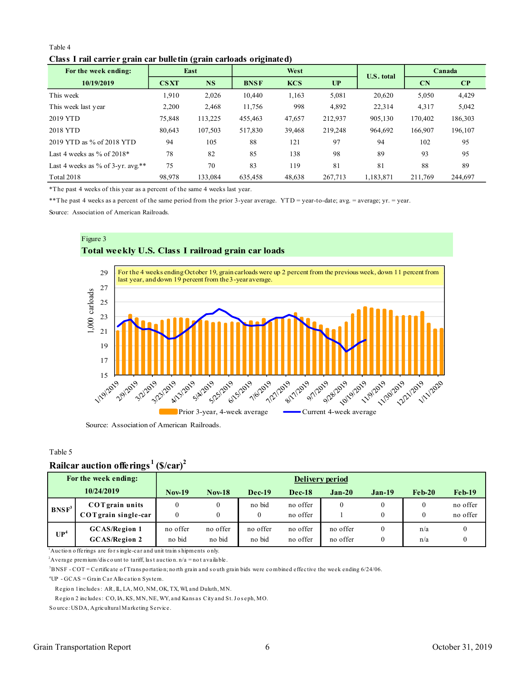#### <span id="page-5-0"></span>Table 4

#### **Class I rail carrier grain car bulletin (grain carloads originated)**

| For the week ending:                | East        |           | West        |            |         | <b>U.S. total</b> | Canada         |                        |
|-------------------------------------|-------------|-----------|-------------|------------|---------|-------------------|----------------|------------------------|
| 10/19/2019                          | <b>CSXT</b> | <b>NS</b> | <b>BNSF</b> | <b>KCS</b> | UP      |                   | $\mathbf{C}$ N | $\mathbf{C}\mathbf{P}$ |
| This week                           | 1,910       | 2,026     | 10,440      | 1,163      | 5,081   | 20,620            | 5,050          | 4,429                  |
| This week last year                 | 2,200       | 2,468     | 11,756      | 998        | 4,892   | 22,314            | 4,317          | 5,042                  |
| 2019 YTD                            | 75,848      | 113,225   | 455,463     | 47,657     | 212.937 | 905,130           | 170,402        | 186,303                |
| 2018 YTD                            | 80.643      | 107.503   | 517,830     | 39,468     | 219,248 | 964.692           | 166,907        | 196,107                |
| 2019 YTD as % of 2018 YTD           | 94          | 105       | 88          | 121        | 97      | 94                | 102            | 95                     |
| Last 4 weeks as $\%$ of 2018*       | 78          | 82        | 85          | 138        | 98      | 89                | 93             | 95                     |
| Last 4 weeks as % of 3-yr. $avg.**$ | 75          | 70        | 83          | 119        | 81      | 81                | 88             | 89                     |
| <b>Total 2018</b>                   | 98.978      | 133,084   | 635.458     | 48,638     | 267,713 | 1,183,871         | 211,769        | 244,697                |

\*The past 4 weeks of this year as a percent of the same 4 weeks last year.

\*\*The past 4 weeks as a percent of the same period from the prior 3-year average. YTD = year-to-date; avg. = average; yr. = year.

Source: Association of American Railroads.



#### Table 5

# **Railcar auction offerings <sup>1</sup>(\$/car)<sup>2</sup>**

|                   | For the week ending:                           | Delivery period    |                    |                    |                      |                      |          |            |                      |
|-------------------|------------------------------------------------|--------------------|--------------------|--------------------|----------------------|----------------------|----------|------------|----------------------|
|                   | 10/24/2019                                     | <b>Nov-19</b>      | <b>Nov-18</b>      | <b>Dec-19</b>      | $Dec-18$             | $Jan-20$             | $Jan-19$ | $Feh-20$   | $Feb-19$             |
| BNSF <sup>3</sup> | <b>COT</b> grain units<br>COT grain single-car |                    |                    | no bid             | no offer<br>no offer |                      |          |            | no offer<br>no offer |
| UP <sup>4</sup>   | <b>GCAS/Region 1</b><br><b>GCAS/Region 2</b>   | no offer<br>no bid | no offer<br>no bid | no offer<br>no bid | no offer<br>no offer | no offer<br>no offer |          | n/a<br>n/a |                      |

<sup>1</sup> Auction offerings are for single-car and unit train shipments only.

<sup>2</sup>Average premium/dis co unt to tariff, last auction.  $n/a = not$  available.

<sup>3</sup>BNSF - COT = Certificate o f Trans po rtatio n; no rth grain and s o uth grain bids were co mbined effective the week ending 6/24/06.

 ${}^{4}UP - GCAS = Grain$  Car Allo cation System.

Region 1 includes: AR, IL, LA, MO, NM, OK, TX, WI, and Duluth, MN.

Region 2 includes: CO, IA, KS, MN, NE, WY, and Kans as City and St. Joseph, MO.

So urce: USDA, Agricultural Marketing Service.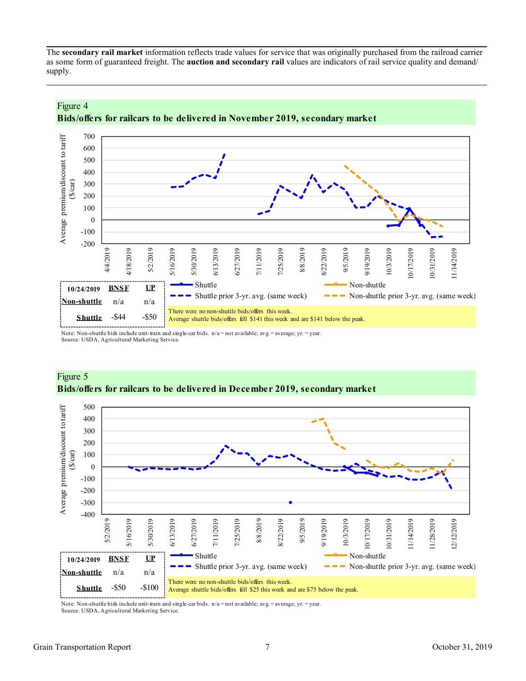The **secondary rail market** information reflects trade values for service that was originally purchased from the railroad carrier as some form of guaranteed freight. The **auction and secondary rail** values are indicators of rail service quality and demand/ supply.



# **Bids/offers for railcars to be delivered in November 2019, secondary market**

Note: Non-shuttle bids include unit-train and single-car bids. n/a = not available; avg. = average; yr. = year.

Source: USDA, Agricultural Marketing Service.

Figure 4



### Figure 5 **Bids/offers for railcars to be delivered in December 2019, secondary market**

Note: Non-shuttle bids include unit-train and single-car bids.  $n/a = not$  available; avg. = average; yr. = year. Source: USDA, Agricultural Marketing Service.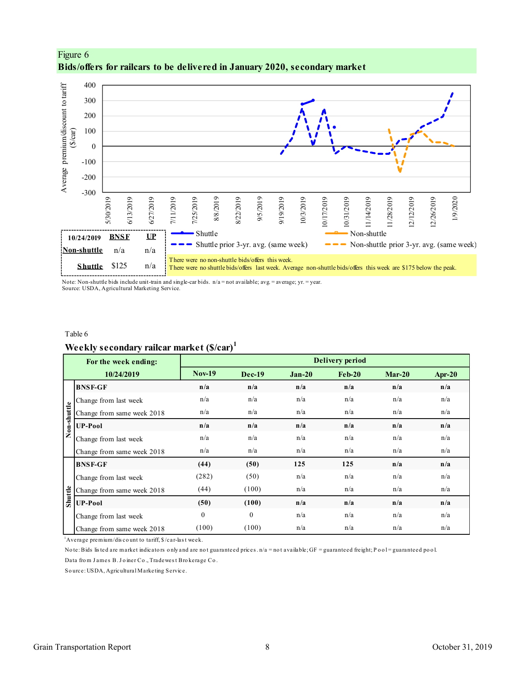

<span id="page-7-0"></span>

Note: Non-shuttle bids include unit-train and single-car bids. n/a = not available; avg. = average; yr. = year. Source: USDA, Agricultural Marketing Service.

#### Table 6

### **Weekly secondary railcar market (\$/car)<sup>1</sup>**

|             | $\sim$ $\sim$ $\sim$ $\sim$ $\sim$ $\sim$ $\sim$                                                                                                    |               |              |          |                        |          |        |
|-------------|-----------------------------------------------------------------------------------------------------------------------------------------------------|---------------|--------------|----------|------------------------|----------|--------|
|             | For the week ending:                                                                                                                                |               |              |          | <b>Delivery period</b> |          |        |
|             | 10/24/2019                                                                                                                                          | <b>Nov-19</b> | $Dec-19$     | $Jan-20$ | $Feb-20$               | $Mar-20$ | Apr-20 |
|             | <b>BNSF-GF</b>                                                                                                                                      | n/a           | n/a          | n/a      | n/a                    | n/a      | n/a    |
|             | Change from last week                                                                                                                               | n/a           | n/a          | n/a      | n/a                    | n/a      | n/a    |
| Non-shuttle | Change from same week 2018                                                                                                                          | n/a           | n/a          | n/a      | n/a                    | n/a      | n/a    |
|             | <b>UP-Pool</b>                                                                                                                                      | n/a           | n/a          | n/a      | n/a                    | n/a      | n/a    |
|             | Change from last week                                                                                                                               | n/a           | n/a          | n/a      | n/a                    | n/a      | n/a    |
|             | Change from same week 2018                                                                                                                          | n/a           | n/a          | n/a      | n/a                    | n/a      | n/a    |
|             | <b>BNSF-GF</b>                                                                                                                                      | (44)          | (50)         | 125      | 125                    | n/a      | n/a    |
|             | Change from last week                                                                                                                               | (282)         | (50)         | n/a      | n/a                    | n/a      | n/a    |
|             | Change from same week 2018                                                                                                                          | (44)          | (100)        | n/a      | n/a                    | n/a      | n/a    |
| Shuttle     | <b>UP-Pool</b>                                                                                                                                      | (50)          | (100)        | n/a      | n/a                    | n/a      | n/a    |
|             | Change from last week                                                                                                                               | $\Omega$      | $\mathbf{0}$ | n/a      | n/a                    | n/a      | n/a    |
|             | Change from same week 2018                                                                                                                          | (100)         | (100)        | n/a      | n/a                    | n/a      | n/a    |
|             | $\Delta$ Average premium/discount to tariff, $\frac{1}{2}$ /car-last week.                                                                          |               |              |          |                        |          |        |
|             | Note: Bids listed are market indicators only and are not guaranteed prices. $n/a =$ not available; GF = guaranteed freight; Pool = guaranteed pool. |               |              |          |                        |          |        |
|             | Data from James B. Joiner Co., Tradewest Brokerage Co.                                                                                              |               |              |          |                        |          |        |
|             | Source: USDA, Agricultural Marketing Service.                                                                                                       |               |              |          |                        |          |        |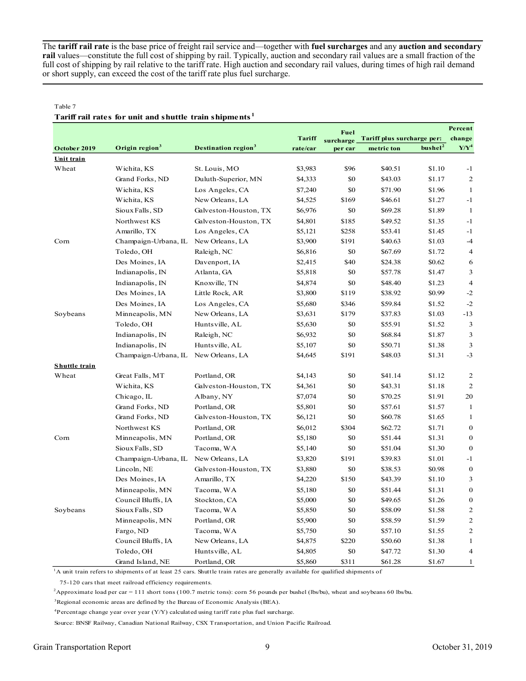The **tariff rail rate** is the base price of freight rail service and—together with **fuel surcharges** and any **auction and secondary rail** values—constitute the full cost of shipping by rail. Typically, auction and secondary rail values are a small fraction of the full cost of shipping by rail relative to the tariff rate. High auction and secondary rail values, during times of high rail demand or short supply, can exceed the cost of the tariff rate plus fuel surcharge.

#### Table 7

# **Tariff rail rates for unit and shuttle train shipments <sup>1</sup>**

|               |                            |                                        |               | <b>Fuel</b> |                            |                     | Percent        |
|---------------|----------------------------|----------------------------------------|---------------|-------------|----------------------------|---------------------|----------------|
|               |                            |                                        | <b>Tariff</b> | surcharge   | Tariff plus surcharge per: |                     | change         |
| October 2019  | Origin region <sup>3</sup> | <b>Destination region</b> <sup>3</sup> | rate/car      | per car     | metric ton                 | bushel <sup>2</sup> | $Y/Y^4$        |
| Unit train    |                            |                                        |               |             |                            |                     |                |
| Wheat         | Wichita, KS                | St. Louis, MO                          | \$3,983       | \$96        | \$40.51                    | \$1.10              | $-1$           |
|               | Grand Forks, ND            | Duluth-Superior, MN                    | \$4,333       | \$0         | \$43.03                    | \$1.17              | $\overline{2}$ |
|               | Wichita, KS                | Los Angeles, CA                        | \$7,240       | \$0         | \$71.90                    | \$1.96              | 1              |
|               | Wichita, KS                | New Orleans, LA                        | \$4,525       | \$169       | \$46.61                    | \$1.27              | $-1$           |
|               | Sioux Falls, SD            | Galveston-Houston, TX                  | \$6,976       | \$0         | \$69.28                    | \$1.89              | $\mathbf{1}$   |
|               | Northwest KS               | Galveston-Houston, TX                  | \$4,801       | \$185       | \$49.52                    | \$1.35              | $-1$           |
|               | Amarillo, TX               | Los Angeles, CA                        | \$5,121       | \$258       | \$53.41                    | \$1.45              | $-1$           |
| Corn          | Champaign-Urbana, IL       | New Orleans, LA                        | \$3,900       | \$191       | \$40.63                    | \$1.03              | $-4$           |
|               | Toledo, OH                 | Raleigh, NC                            | \$6,816       | \$0         | \$67.69                    | \$1.72              | $\overline{4}$ |
|               | Des Moines, IA             | Davenport, IA                          | \$2,415       | \$40        | \$24.38                    | \$0.62              | 6              |
|               | Indianapolis, IN           | Atlanta, GA                            | \$5,818       | \$0         | \$57.78                    | \$1.47              | 3              |
|               | Indianapolis, IN           | Knoxville, TN                          | \$4,874       | \$0         | \$48.40                    | \$1.23              | $\overline{4}$ |
|               | Des Moines, IA             | Little Rock, AR                        | \$3,800       | \$119       | \$38.92                    | \$0.99              | $-2$           |
|               | Des Moines, IA             | Los Angeles, CA                        | \$5,680       | \$346       | \$59.84                    | \$1.52              | $-2$           |
| Soybeans      | Minneapolis, MN            | New Orleans, LA                        | \$3,631       | \$179       | \$37.83                    | \$1.03              | $-13$          |
|               | Toledo, OH                 | Huntsville, AL                         | \$5,630       | \$0         | \$55.91                    | \$1.52              | 3              |
|               | Indianapolis, IN           | Raleigh, NC                            | \$6,932       | \$0         | \$68.84                    | \$1.87              | 3              |
|               | Indianapolis, IN           | Huntsville, AL                         | \$5,107       | \$0         | \$50.71                    | \$1.38              | 3              |
|               | Champaign-Urbana, IL       | New Orleans, LA                        | \$4,645       | \$191       | \$48.03                    | \$1.31              | $-3$           |
| Shuttle train |                            |                                        |               |             |                            |                     |                |
| Wheat         | Great Falls, MT            | Portland, OR                           | \$4,143       | \$0         | \$41.14                    | \$1.12              | $\overline{2}$ |
|               | Wichita, KS                | Galveston-Houston, TX                  | \$4,361       | $\$0$       | \$43.31                    | \$1.18              | $\overline{c}$ |
|               | Chicago, IL                | Albany, NY                             | \$7,074       | \$0         | \$70.25                    | \$1.91              | 20             |
|               | Grand Forks, ND            | Portland, OR                           | \$5,801       | \$0         | \$57.61                    | \$1.57              | $\mathbf{1}$   |
|               | Grand Forks, ND            | Galveston-Houston, TX                  | \$6,121       | \$0         | \$60.78                    | \$1.65              | 1              |
|               | Northwest KS               | Portland, OR                           | \$6,012       | \$304       | \$62.72                    | \$1.71              | $\mathbf 0$    |
| Corn          | Minneapolis, MN            | Portland, OR                           | \$5,180       | \$0         | \$51.44                    | \$1.31              | $\mathbf{0}$   |
|               | Sioux Falls, SD            | Tacoma, WA                             | \$5,140       | \$0         | \$51.04                    | \$1.30              | $\mathbf 0$    |
|               | Champaign-Urbana, IL       | New Orleans, LA                        | \$3,820       | \$191       | \$39.83                    | \$1.01              | $-1$           |
|               | Lincoln, NE                | Galveston-Houston, TX                  | \$3,880       | \$0         | \$38.53                    | \$0.98              | $\mathbf 0$    |
|               | Des Moines, IA             | Amarillo, TX                           | \$4,220       | \$150       | \$43.39                    | \$1.10              | 3              |
|               | Minneapolis, MN            | Tacoma, WA                             | \$5,180       | \$0         | \$51.44                    | \$1.31              | $\mathbf{0}$   |
|               | Council Bluffs, IA         | Stockton, CA                           | \$5,000       | \$0         | \$49.65                    | \$1.26              | $\mathbf 0$    |
| Soybeans      | Sioux Falls, SD            | Tacoma, WA                             | \$5,850       | \$0         | \$58.09                    | \$1.58              | $\overline{2}$ |
|               | Minneapolis, MN            | Portland, OR                           | \$5,900       | \$0         | \$58.59                    | \$1.59              | $\overline{2}$ |
|               | Fargo, ND                  | Tacoma, WA                             | \$5,750       | \$0         | \$57.10                    | \$1.55              | $\overline{c}$ |
|               | Council Bluffs, IA         | New Orleans, LA                        | \$4,875       | \$220       | \$50.60                    | \$1.38              | 1              |
|               | Toledo, OH                 | Huntsville, AL                         | \$4,805       | \$0         | \$47.72                    | \$1.30              | $\overline{4}$ |
|               | Grand Island, NE           | Portland, OR                           | \$5,860       | \$311       | \$61.28                    | \$1.67              | 1              |

<sup>1</sup>A unit train refers to shipments of at least 25 cars. Shuttle train rates are generally available for qualified shipments of

75-120 cars that meet railroad efficiency requirements.

<sup>2</sup>Approximate load per car = 111 short tons (100.7 metric tons): corn 56 pounds per bushel (lbs/bu), wheat and soybeans 60 lbs/bu.

<sup>3</sup>Regional economic areas are defined by the Bureau of Economic Analysis (BEA).

 ${}^{4}$ Percentage change year over year (Y/Y) calculated using tariff rate plus fuel surcharge.

Source: BNSF Railway, Canadian National Railway, CSX Transportation, and Union Pacific Railroad.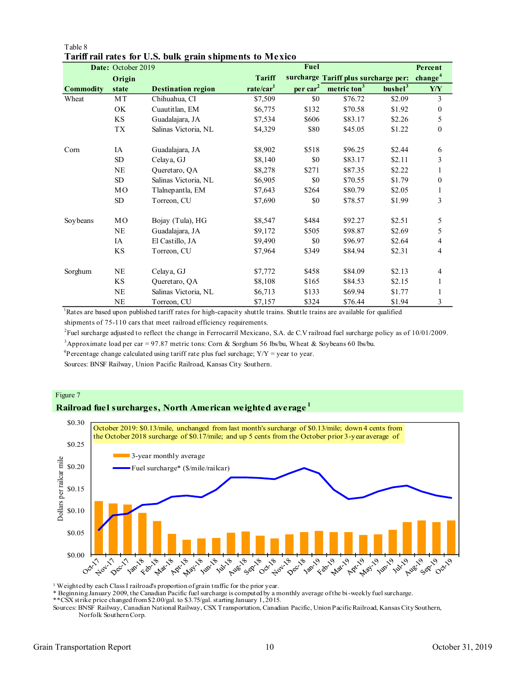|                  | Date: October 2019 |                           |                       | Fuel           |                                      |                     | Percent             |
|------------------|--------------------|---------------------------|-----------------------|----------------|--------------------------------------|---------------------|---------------------|
|                  | Origin             |                           | <b>Tariff</b>         |                | surcharge Tariff plus surcharge per: |                     | change <sup>4</sup> |
| <b>Commodity</b> | state              | <b>Destination region</b> | rate/car <sup>1</sup> | $per \, car^2$ | metric ton <sup>3</sup>              | bushel <sup>3</sup> | Y/Y                 |
| Wheat            | MT                 | Chihuahua, CI             | \$7,509               | \$0            | \$76.72                              | \$2.09              | 3                   |
|                  | OK                 | Cuautitlan, EM            | \$6,775               | \$132          | \$70.58                              | \$1.92              | $\boldsymbol{0}$    |
|                  | KS                 | Guadalajara, JA           | \$7,534               | \$606          | \$83.17                              | \$2.26              | 5                   |
|                  | <b>TX</b>          | Salinas Victoria, NL      | \$4,329               | \$80           | \$45.05                              | \$1.22              | $\boldsymbol{0}$    |
| Corn             | IA                 | Guadalajara, JA           | \$8,902               | \$518          | \$96.25                              | \$2.44              | 6                   |
|                  | <b>SD</b>          | Celaya, GJ                | \$8,140               | \$0            | \$83.17                              | \$2.11              | 3                   |
|                  | <b>NE</b>          | Queretaro, QA             | \$8,278               | \$271          | \$87.35                              | \$2.22              | 1                   |
|                  | SD                 | Salinas Victoria, NL      | \$6,905               | \$0            | \$70.55                              | \$1.79              | $\boldsymbol{0}$    |
|                  | MO                 | Tlalnepantla, EM          | \$7,643               | \$264          | \$80.79                              | \$2.05              | $\mathbf{1}$        |
|                  | SD                 | Torreon, CU               | \$7,690               | \$0            | \$78.57                              | \$1.99              | 3                   |
| Soybeans         | MO                 | Bojay (Tula), HG          | \$8,547               | \$484          | \$92.27                              | \$2.51              | 5                   |
|                  | <b>NE</b>          | Guadalajara, JA           | \$9,172               | \$505          | \$98.87                              | \$2.69              | 5                   |
|                  | IA                 | El Castillo, JA           | \$9,490               | \$0            | \$96.97                              | \$2.64              | 4                   |
|                  | <b>KS</b>          | Torreon, CU               | \$7,964               | \$349          | \$84.94                              | \$2.31              | 4                   |
| Sorghum          | NE                 | Celaya, GJ                | \$7,772               | \$458          | \$84.09                              | \$2.13              | 4                   |
|                  | KS                 | Queretaro, QA             | \$8,108               | \$165          | \$84.53                              | \$2.15              | $\mathbf{1}$        |
|                  | <b>NE</b>          | Salinas Victoria, NL      | \$6,713               | \$133          | \$69.94                              | \$1.77              | $\mathbf{1}$        |
|                  | <b>NE</b>          | Torreon, CU               | \$7,157               | \$324          | \$76.44                              | \$1.94              | 3                   |

#### Table 8 **Tariff rail rates for U.S. bulk grain shipments to Mexico**

<sup>1</sup>Rates are based upon published tariff rates for high-capacity shuttle trains. Shuttle trains are available for qualified shipments of 75-110 cars that meet railroad efficiency requirements.

2 Fuel surcharge adjusted to reflect the change in Ferrocarril Mexicano, S.A. de C.V railroad fuel surcharge policy as of 10/01/2009.

<sup>3</sup>Approximate load per car = 97.87 metric tons: Corn & Sorghum 56 lbs/bu, Wheat & Soybeans 60 lbs/bu.

<sup>4</sup>Percentage change calculated using tariff rate plus fuel surchage;  $Y/Y = year$  to year.

Sources: BNSF Railway, Union Pacific Railroad, Kansas City Southern.

#### Figure 7





<sup>1</sup> Weighted by each Class I railroad's proportion of grain traffic for the prior year.

\* Beginning January 2009, the Canadian Pacific fuel surcharge is computed by a monthly average of the bi-weekly fuel surcharge.

\*\*CSX strike price changed from \$2.00/gal. to \$3.75/gal. starting January 1, 2015.

Sources: BNSF Railway, Canadian National Railway, CSX Transportation, Canadian Pacific, Union Pacific Railroad, Kansas City Southern, Norfolk Southern Corp.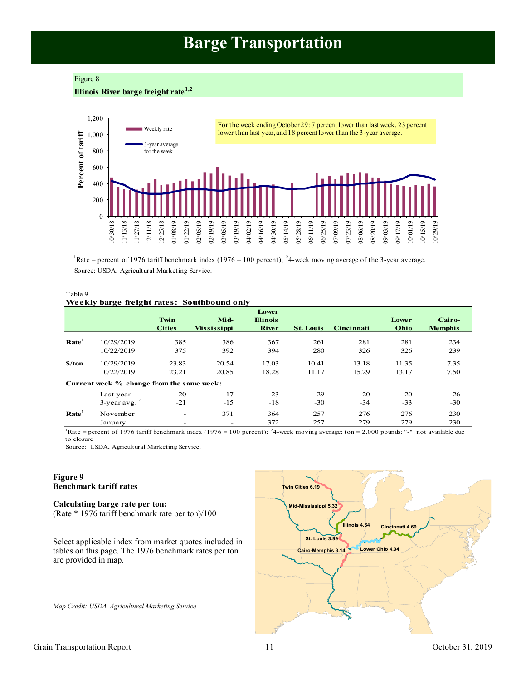# **Barge Transportation**

#### <span id="page-10-0"></span>Figure 8

**Illinois River barge freight rate1,2**



Rate = percent of 1976 tariff benchmark index (1976 = 100 percent); <sup>2</sup>4-week moving average of the 3-year average. Source: USDA, Agricultural Marketing Service.

#### Table 9 **Weekly barge freight rates: Southbound only**

|                   |                                           | Twin<br><b>Cities</b>    | Mid-<br><b>Mississippi</b>      | Lower<br><b>Illinois</b><br><b>River</b> | <b>St. Louis</b> | Cincinnati | Lower<br>Ohio | Cairo-<br><b>Memphis</b> |
|-------------------|-------------------------------------------|--------------------------|---------------------------------|------------------------------------------|------------------|------------|---------------|--------------------------|
| Rate <sup>1</sup> | 10/29/2019                                | 385                      | 386                             | 367                                      | 261              | 281        | 281           | 234                      |
|                   | 10/22/2019                                | 375                      | 392                             | 394                                      | 280              | 326        | 326           | 239                      |
| \$/ton            | 10/29/2019                                | 23.83                    | 20.54                           | 17.03                                    | 10.41            | 13.18      | 11.35         | 7.35                     |
|                   | 10/22/2019                                | 23.21                    | 20.85                           | 18.28                                    | 11.17            | 15.29      | 13.17         | 7.50                     |
|                   | Current week % change from the same week: |                          |                                 |                                          |                  |            |               |                          |
|                   | Last year                                 | $-20$                    | $-17$                           | $-23$                                    | $-29$            | $-20$      | $-20$         | $-26$                    |
|                   | $3$ -year avg. $2$                        | $-21$                    | $-15$                           | $-18$                                    | $-30$            | $-34$      | $-33$         | $-30$                    |
| Rate <sup>1</sup> | November<br>January                       | $\overline{\phantom{0}}$ | 371<br>$\overline{\phantom{a}}$ | 364<br>372                               | 257<br>257       | 276<br>279 | 276<br>279    | 230<br>230               |

Rate = percent of 1976 tariff benchmark index (1976 = 100 percent); <sup>2</sup>4-week moving average; ton = 2,000 pounds; "-" not available due to closure

Source: USDA, Agricultural Marketing Service.

#### **Figure 9 Benchmark tariff rates**

#### **Calculating barge rate per ton:** (Rate \* 1976 tariff benchmark rate per ton)/100

Select applicable index from market quotes included in tables on this page. The 1976 benchmark rates per ton are provided in map.

*Map Credit: USDA, Agricultural Marketing Service* 

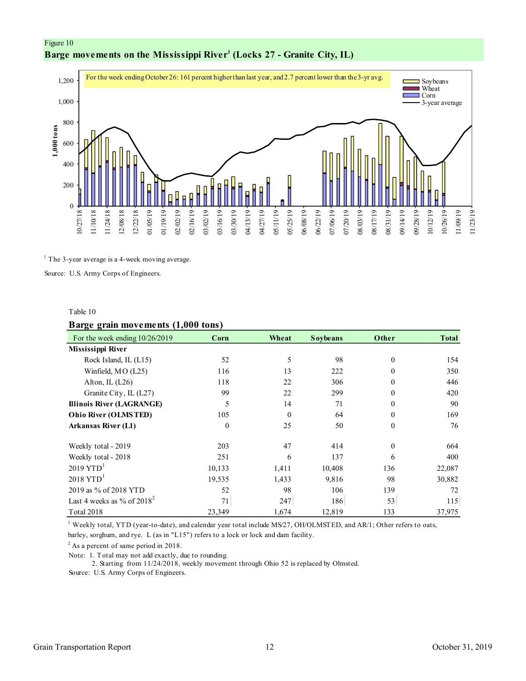<span id="page-11-0"></span>



 $<sup>1</sup>$  The 3-year average is a 4-week moving average.</sup>

Source: U.S. Army Corps of Engineers.

#### Table 10

#### **Barge grain movements (1,000 tons)**

| 8 - 8 -<br>For the week ending $10/26/2019$ | Corn         | Wheat    | <b>Soybeans</b> | Other    | <b>Total</b> |
|---------------------------------------------|--------------|----------|-----------------|----------|--------------|
| Mississippi River                           |              |          |                 |          |              |
| Rock Island, IL (L15)                       | 52           | 5        | 98              | $\Omega$ | 154          |
| Winfield, MO (L25)                          | 116          | 13       | 222             | 0        | 350          |
| Alton, IL $(L26)$                           | 118          | 22       | 306             | $\Omega$ | 446          |
| Granite City, IL (L27)                      | 99           | 22       | 299             | $\Omega$ | 420          |
| <b>Illinois River (LAGRANGE)</b>            | 5            | 14       | 71              | $\Omega$ | 90           |
| <b>Ohio River (OLMSTED)</b>                 | 105          | $\theta$ | 64              | $\Omega$ | 169          |
| <b>Arkansas River (L1)</b>                  | $\mathbf{0}$ | 25       | 50              | $\Omega$ | 76           |
| Weekly total - 2019                         | 203          | 47       | 414             | $\Omega$ | 664          |
| Weekly total - 2018                         | 251          | 6        | 137             | 6        | 400          |
| $2019$ YTD <sup>1</sup>                     | 10,133       | 1,411    | 10,408          | 136      | 22,087       |
| $2018$ YTD <sup>1</sup>                     | 19,535       | 1,433    | 9,816           | 98       | 30,882       |
| 2019 as % of 2018 YTD                       | 52           | 98       | 106             | 139      | 72           |
| Last 4 weeks as % of $2018^2$               | 71           | 247      | 186             | 53       | 115          |
| <b>Total 2018</b>                           | 23,349       | 1,674    | 12,819          | 133      | 37,975       |

 $^1$  Weekly total, YTD (year-to-date), and calendar year total include MS/27, OH/OLMSTED, and AR/1; Other refers to oats, barley, sorghum, and rye. L (as in "L15") refers to a lock or lock and dam facility.

 $2$  As a percent of same period in 2018.

Note: 1. Total may not add exactly, due to rounding.

2. Starting from 11/24/2018, weekly movement through Ohio 52 is replaced by Olmsted.

Source: U.S. Army Corps of Engineers.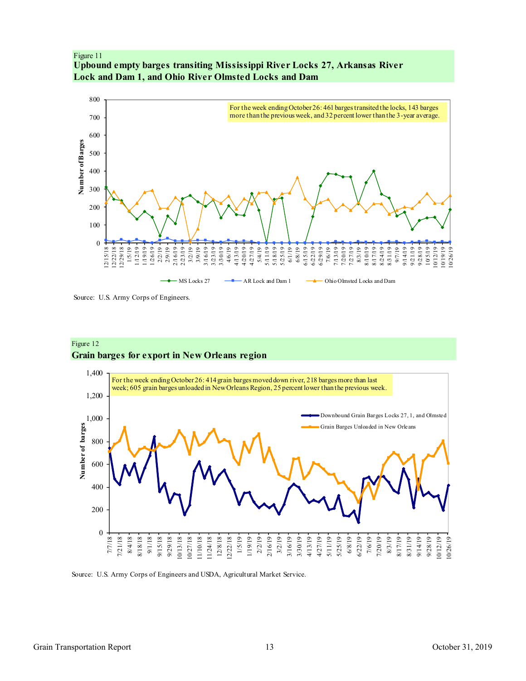<span id="page-12-0"></span>



Source: U.S. Army Corps of Engineers.

#### Figure 12 **Grain barges for export in New Orleans region**



Source: U.S. Army Corps of Engineers and USDA, Agricultural Market Service.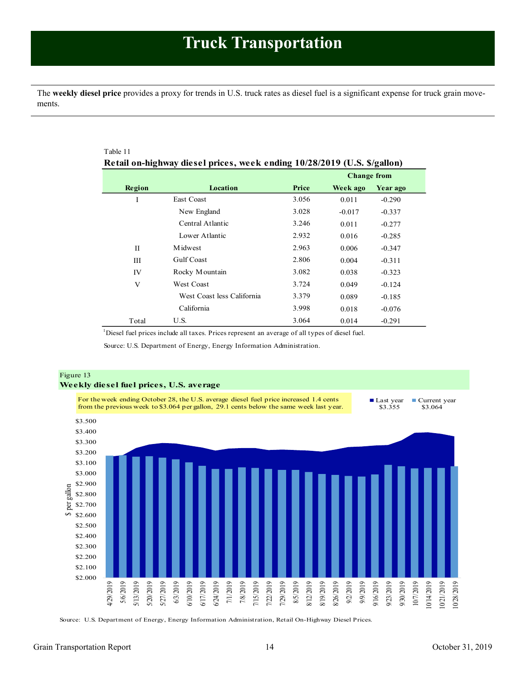<span id="page-13-1"></span><span id="page-13-0"></span>The **weekly diesel price** provides a proxy for trends in U.S. truck rates as diesel fuel is a significant expense for truck grain movements.

| Table 11    |                                                                          |       |                    |          |  |
|-------------|--------------------------------------------------------------------------|-------|--------------------|----------|--|
|             | Retail on-highway diesel prices, week ending 10/28/2019 (U.S. \$/gallon) |       |                    |          |  |
|             |                                                                          |       | <b>Change from</b> |          |  |
| Region      | Location                                                                 | Price | Week ago           | Year ago |  |
| I           | <b>East Coast</b>                                                        | 3.056 | 0.011              | $-0.290$ |  |
|             | New England                                                              | 3.028 | $-0.017$           | $-0.337$ |  |
|             | Central Atlantic                                                         | 3.246 | 0.011              | $-0.277$ |  |
|             | Lower Atlantic                                                           | 2.932 | 0.016              | $-0.285$ |  |
| $_{\rm II}$ | Midwest                                                                  | 2.963 | 0.006              | $-0.347$ |  |
| Ш           | <b>Gulf Coast</b>                                                        | 2.806 | 0.004              | $-0.311$ |  |
| IV          | Rocky Mountain                                                           | 3.082 | 0.038              | $-0.323$ |  |
| V           | <b>West Coast</b>                                                        | 3.724 | 0.049              | $-0.124$ |  |
|             | West Coast less California                                               | 3.379 | 0.089              | $-0.185$ |  |
|             | California                                                               | 3.998 | 0.018              | $-0.076$ |  |
| Total       | U.S.                                                                     | 3.064 | 0.014              | $-0.291$ |  |

<sup>1</sup>Diesel fuel prices include all taxes. Prices represent an average of all types of diesel fuel.

Source: U.S. Department of Energy, Energy Information Administration.



Source: U.S. Department of Energy, Energy Information Administration, Retail On-Highway Diesel Prices.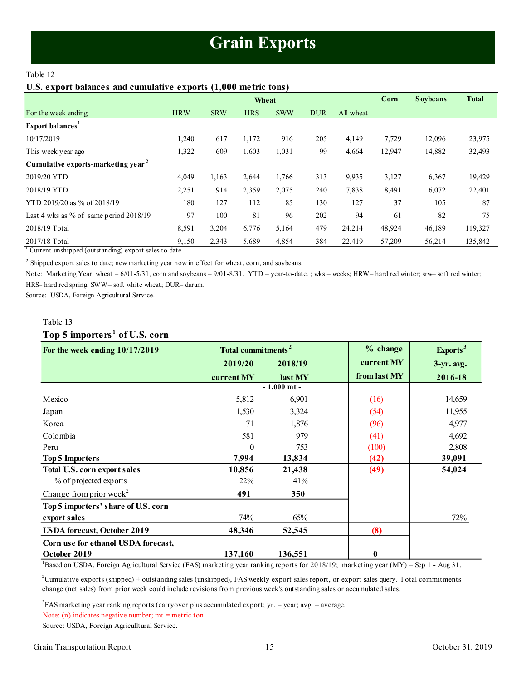# **Grain Exports**

#### <span id="page-14-1"></span><span id="page-14-0"></span>Table 12

#### **U.S. export balances and cumulative exports (1,000 metric tons)**

|                                                |            |            | Wheat      |            |            |           | Corn   | <b>Soybeans</b> | <b>Total</b> |
|------------------------------------------------|------------|------------|------------|------------|------------|-----------|--------|-----------------|--------------|
| For the week ending                            | <b>HRW</b> | <b>SRW</b> | <b>HRS</b> | <b>SWW</b> | <b>DUR</b> | All wheat |        |                 |              |
| Export balances <sup>1</sup>                   |            |            |            |            |            |           |        |                 |              |
| 10/17/2019                                     | 1,240      | 617        | 1,172      | 916        | 205        | 4,149     | 7,729  | 12,096          | 23,975       |
| This week year ago                             | 1,322      | 609        | 1,603      | 1,031      | 99         | 4,664     | 12,947 | 14,882          | 32,493       |
| Cumulative exports-marketing year <sup>2</sup> |            |            |            |            |            |           |        |                 |              |
| 2019/20 YTD                                    | 4,049      | 1,163      | 2,644      | 1,766      | 313        | 9,935     | 3,127  | 6,367           | 19,429       |
| 2018/19 YTD                                    | 2,251      | 914        | 2,359      | 2,075      | 240        | 7,838     | 8,491  | 6,072           | 22,401       |
| YTD 2019/20 as % of 2018/19                    | 180        | 127        | 112        | 85         | 130        | 127       | 37     | 105             | 87           |
| Last 4 wks as % of same period $2018/19$       | 97         | 100        | 81         | 96         | 202        | 94        | 61     | 82              | 75           |
| 2018/19 Total                                  | 8,591      | 3,204      | 6,776      | 5,164      | 479        | 24,214    | 48,924 | 46,189          | 119,327      |
| 2017/18 Total                                  | 9,150      | 2,343      | 5,689      | 4,854      | 384        | 22,419    | 57,209 | 56,214          | 135,842      |

 $1$  Current unshipped (outstanding) export sales to date

 $2$  Shipped export sales to date; new marketing year now in effect for wheat, corn, and soybeans.

Note: Marketing Year: wheat = 6/01-5/31, corn and soybeans = 9/01-8/31. YTD = year-to-date.; wks = weeks; HRW= hard red winter; srw= soft red winter; HRS= hard red spring; SWW= soft white wheat; DUR= durum.

Source: USDA, Foreign Agricultural Service.

#### Table 13

#### **Top 5 importers <sup>1</sup> of U.S. corn**

| For the week ending $10/17/2019$    | Total commitments <sup>2</sup> |               | % change     | Exports <sup>3</sup> |
|-------------------------------------|--------------------------------|---------------|--------------|----------------------|
|                                     | 2019/20                        | 2018/19       | current MY   | $3-yr$ . avg.        |
|                                     | current MY                     | last MY       | from last MY | 2016-18              |
|                                     |                                | $-1,000$ mt - |              |                      |
| Mexico                              | 5,812                          | 6,901         | (16)         | 14,659               |
| Japan                               | 1,530                          | 3,324         | (54)         | 11,955               |
| Korea                               | 71                             | 1,876         | (96)         | 4,977                |
| Colombia                            | 581                            | 979           | (41)         | 4,692                |
| Peru                                | $\theta$                       | 753           | (100)        | 2,808                |
| <b>Top 5 Importers</b>              | 7,994                          | 13,834        | (42)         | 39,091               |
| <b>Total U.S. corn export sales</b> | 10,856                         | 21,438        | (49)         | 54,024               |
| % of projected exports              | 22%                            | 41%           |              |                      |
| Change from prior week <sup>2</sup> | 491                            | 350           |              |                      |
| Top 5 importers' share of U.S. corn |                                |               |              |                      |
| export sales                        | 74%                            | 65%           |              | 72%                  |
| <b>USDA</b> forecast, October 2019  | 48,346                         | 52,545        | (8)          |                      |
| Corn use for ethanol USDA forecast, |                                |               |              |                      |
| October 2019                        | 137,160                        | 136,551       | $\bf{0}$     |                      |

<sup>1</sup>Based on USDA, Foreign Agricultural Service (FAS) marketing year ranking reports for 2018/19; marketing year (MY) = Sep 1 - Aug 31.

<sup>2</sup>Cumulative exports (shipped) + outstanding sales (unshipped), FAS weekly export sales report, or export sales query. Total commitments change (net sales) from prior week could include revisions from previous week's outstanding sales or accumulated sales.

 ${}^{3}$ FAS marketing year ranking reports (carryover plus accumulated export; yr. = year; avg. = average.

Note:  $(n)$  indicates negative number;  $mt = metric$  ton

Source: USDA, Foreign Agriculltural Service.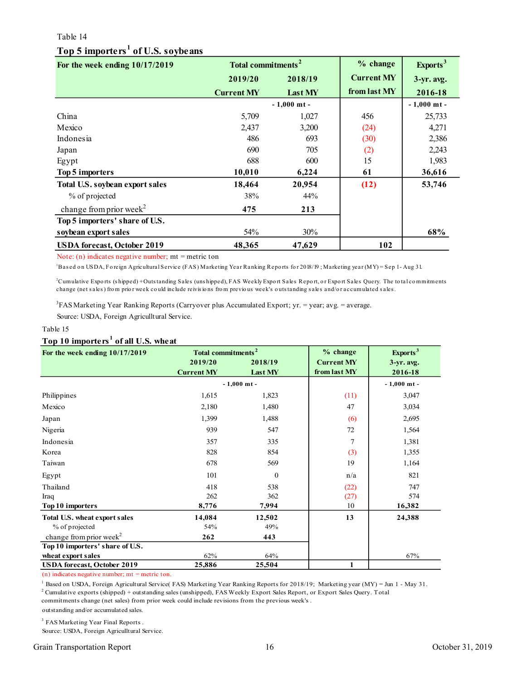#### <span id="page-15-0"></span>Table 14

# **Top 5 importers <sup>1</sup> of U.S. soybeans**

| For the week ending 10/17/2019      | Total commitments <sup>2</sup> |               | % change          | Exports <sup>3</sup> |
|-------------------------------------|--------------------------------|---------------|-------------------|----------------------|
|                                     | 2019/20                        | 2018/19       | <b>Current MY</b> | $3-yr$ . avg.        |
|                                     | <b>Current MY</b>              | Last MY       | from last MY      | 2016-18              |
|                                     |                                | $-1,000$ mt - |                   | $-1,000$ mt -        |
| China                               | 5,709                          | 1,027         | 456               | 25,733               |
| Mexico                              | 2,437                          | 3,200         | (24)              | 4,271                |
| Indonesia                           | 486                            | 693           | (30)              | 2,386                |
| Japan                               | 690                            | 705           | (2)               | 2,243                |
| Egypt                               | 688                            | 600           | 15                | 1,983                |
| Top 5 importers                     | 10,010                         | 6,224         | 61                | 36,616               |
| Total U.S. soybean export sales     | 18,464                         | 20,954        | (12)              | 53,746               |
| % of projected                      | 38%                            | 44%           |                   |                      |
| change from prior week <sup>2</sup> | 475                            | 213           |                   |                      |
| Top 5 importers' share of U.S.      |                                |               |                   |                      |
| soybean export sales                | 54%                            | 30%           |                   | 68%                  |
| <b>USDA</b> forecast, October 2019  | 48,365                         | 47,629        | 102               |                      |

Note:  $(n)$  indicates negative number;  $mt$  = metric ton

<sup>1</sup>Based on USDA, Foreign Agricultural Service (FAS) Marketing Year Ranking Reports for 2018/19; Marketing year (MY) = Sep 1-Aug 31.

<sup>2</sup>Cumulative Exports (shipped) + Outs tanding Sales (uns hipped), FAS Weekly Export Sales Report, or Export Sales Query. The total commitments change (net sales) from prior week could include reivisions from previous week's outstanding sales and/or accumulated sales.

Source: USDA, Foreign Agriculltural Service. 3 FAS Marketing Year Ranking Reports (Carryover plus Accumulated Export; yr. = year; avg. = average.

#### Table 15

#### **Top 10 importers <sup>1</sup> of all U.S. wheat**

| For the week ending 10/17/2019      | Total commitments <sup>2</sup> |               | $%$ change        | Exports <sup>3</sup> |
|-------------------------------------|--------------------------------|---------------|-------------------|----------------------|
|                                     | 2019/20                        | 2018/19       | <b>Current MY</b> | $3-yr$ . avg.        |
|                                     | <b>Current MY</b>              | Last MY       | from last MY      | 2016-18              |
|                                     |                                | $-1,000$ mt - |                   | $-1,000$ mt -        |
| Philippines                         | 1,615                          | 1,823         | (11)              | 3,047                |
| Mexico                              | 2,180                          | 1,480         | 47                | 3,034                |
| Japan                               | 1,399                          | 1,488         | (6)               | 2,695                |
| Nigeria                             | 939                            | 547           | 72                | 1,564                |
| Indonesia                           | 357                            | 335           | 7                 | 1,381                |
| Korea                               | 828                            | 854           | (3)               | 1,355                |
| Taiwan                              | 678                            | 569           | 19                | 1,164                |
| Egypt                               | 101                            | $\mathbf{0}$  | n/a               | 821                  |
| Thailand                            | 418                            | 538           | (22)              | 747                  |
| Iraq                                | 262                            | 362           | (27)              | 574                  |
| Top 10 importers                    | 8,776                          | 7,994         | 10                | 16,382               |
| Total U.S. wheat export sales       | 14,084                         | 12,502        | 13                | 24,388               |
| % of projected                      | 54%                            | 49%           |                   |                      |
| change from prior week <sup>2</sup> | 262                            | 443           |                   |                      |
| Top 10 importers' share of U.S.     |                                |               |                   |                      |
| wheat export sales                  | 62%                            | 64%           |                   | 67%                  |
| <b>USDA</b> forecast, October 2019  | 25,886                         | 25,504        | 1                 |                      |

(n) indicates negative number;  $mt = metric$  ton.

1 Based on USDA, Foreign Agricultural Service( FAS) Marketing Year Ranking Reports for 2018/19; Marketing year (MY) = Jun 1 - May 31. <sup>2</sup> Cumulative exports (shipped) + outstanding sales (unshipped), FAS Weekly Export Sales Report, or Export Sales Query. Total

outstanding and/or accumulated sales. commitments change (net sales) from prior week could include revisions from the previous week's .

<sup>3</sup> FAS Marketing Year Final Reports.

Source: USDA, Foreign Agriculltural Service.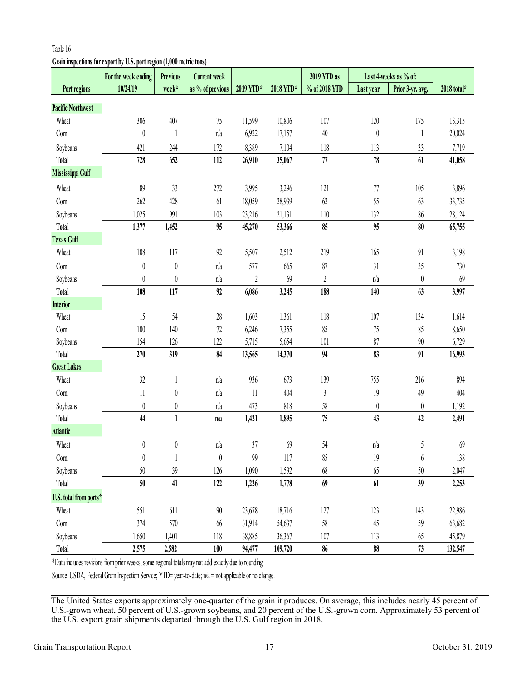# <span id="page-16-0"></span>**Grain inspections for export by U.S. port region (1,000 metric tons)**

| week*<br>as % of previous |            |                                                                                                      |                                                                                                       |                  |                  |             |
|---------------------------|------------|------------------------------------------------------------------------------------------------------|-------------------------------------------------------------------------------------------------------|------------------|------------------|-------------|
|                           | 2019 YTD*  | 2018 YTD*                                                                                            | % of 2018 YTD                                                                                         | Last year        | Prior 3-yr. avg. | 2018 total* |
|                           |            |                                                                                                      |                                                                                                       |                  |                  |             |
| 407<br>75                 | 11,599     | 10,806                                                                                               | 107                                                                                                   | 120              | 175              | 13,315      |
| n/a<br>1                  | 6,922      | 17,157                                                                                               | $40\,$                                                                                                | $\boldsymbol{0}$ | 1                | 20,024      |
| 244<br>172                | 8,389      | 7,104                                                                                                | 118                                                                                                   | 113              | 33               | 7,719       |
| 652<br>112                | 26,910     | 35,067                                                                                               | 77                                                                                                    | 78               | 61               | 41,058      |
|                           |            |                                                                                                      |                                                                                                       |                  |                  |             |
| 33<br>272                 | 3,995      | 3,296                                                                                                | 121                                                                                                   | 77               | 105              | 3,896       |
| 428<br>61                 | 18,059     | 28,939                                                                                               | 62                                                                                                    | 55               | 63               | 33,735      |
| 991<br>103                | 23,216     | 21,131                                                                                               | 110                                                                                                   | 132              | $86\,$           | 28,124      |
| 95<br>1,452               | 45,270     | 53,366                                                                                               | 85                                                                                                    | 95               | 80               | 65,755      |
|                           |            |                                                                                                      |                                                                                                       |                  |                  |             |
| $92\,$<br>117             | 5,507      | 2,512                                                                                                | 219                                                                                                   | 165              | 91               | 3,198       |
| $\boldsymbol{0}$<br>n/a   | 577        | 665                                                                                                  | 87                                                                                                    | 31               | 35               | 730         |
| $\boldsymbol{0}$<br>n/a   | $\sqrt{2}$ | 69                                                                                                   | $\overline{2}$                                                                                        | n/a              | $\boldsymbol{0}$ | 69          |
| 117<br>92                 | 6,086      | 3,245                                                                                                | 188                                                                                                   | 140              | 63               | 3,997       |
|                           |            |                                                                                                      |                                                                                                       |                  |                  |             |
| $28\,$<br>54              | 1,603      | 1,361                                                                                                | 118                                                                                                   | 107              | 134              | 1,614       |
| $72\,$<br>140             | 6,246      | 7,355                                                                                                | 85                                                                                                    | 75               | 85               | 8,650       |
| 126<br>122                | 5,715      | 5,654                                                                                                | 101                                                                                                   | 87               | $90\,$           | 6,729       |
| 319<br>84                 | 13,565     | 14,370                                                                                               | 94                                                                                                    | 83               | 91               | 16,993      |
|                           |            |                                                                                                      |                                                                                                       |                  |                  |             |
| n/a<br>$\mathbf{1}$       | 936        | 673                                                                                                  | 139                                                                                                   | 755              | 216              | 894         |
| $\boldsymbol{0}$<br>n/a   | 11         | 404                                                                                                  | $\mathfrak z$                                                                                         | 19               | 49               | 404         |
| $\boldsymbol{0}$<br>n/a   | 473        | 818                                                                                                  | 58                                                                                                    | $\theta$         | $\boldsymbol{0}$ | 1,192       |
| $\mathbf{1}$<br>n/a       | 1,421      | 1,895                                                                                                | 75                                                                                                    | 43               | 42               | 2,491       |
|                           |            |                                                                                                      |                                                                                                       |                  |                  |             |
| $\left( \right)$<br>n/a   | 37         | 69                                                                                                   | 54                                                                                                    | n/a              | 5                | 69          |
| 0                         | 99         | 117                                                                                                  | 85                                                                                                    | 19               | 6                | 138         |
| 39<br>126                 | 1,090      | 1,592                                                                                                | 68                                                                                                    | 65               | 50               | 2,047       |
| 41<br>122                 | 1,226      | 1,778                                                                                                | 69                                                                                                    | 61               | 39               | 2,253       |
|                           |            |                                                                                                      |                                                                                                       |                  |                  |             |
| 611<br>90                 | 23,678     | 18,716                                                                                               | 127                                                                                                   | 123              | 143              | 22,986      |
| 570<br>66                 | 31,914     | 54,637                                                                                               | 58                                                                                                    | 45               | 59               | 63,682      |
| 1,401<br>118              | 38,885     | 36,367                                                                                               | 107                                                                                                   | 113              | 65               | 45,879      |
| 2,582<br>100              | 94,477     | 109,720                                                                                              | 86                                                                                                    | 88               | 73               | 132,547     |
|                           |            | *Data includes revisions from prior weeks; some regional totals may not add exactly due to rounding. | Source: USDA, Federal Grain Inspection Service; YTD= year-to-date; n/a = not applicable or no change. |                  |                  |             |

The United States exports approximately one-quarter of the grain it produces. On average, this includes nearly 45 percent of U.S.-grown wheat, 50 percent of U.S.-grown soybeans, and 20 percent of the U.S.-grown corn. Approximately 53 percent of the U.S. export grain shipments departed through the U.S. Gulf region in 2018.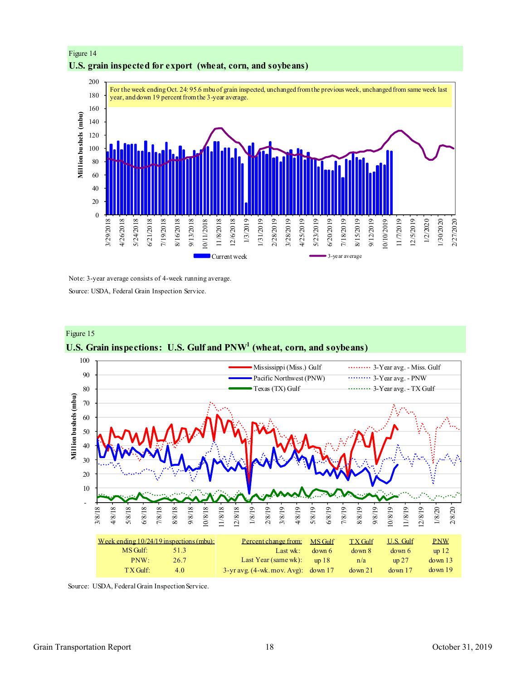



Note: 3-year average consists of 4-week running average.

Source: USDA, Federal Grain Inspection Service.



# **U.S. Grain inspections: U.S. Gulf and PNW<sup>1</sup> (wheat, corn, and soybeans)**

Source: USDA, Federal Grain Inspection Service.

Figure 15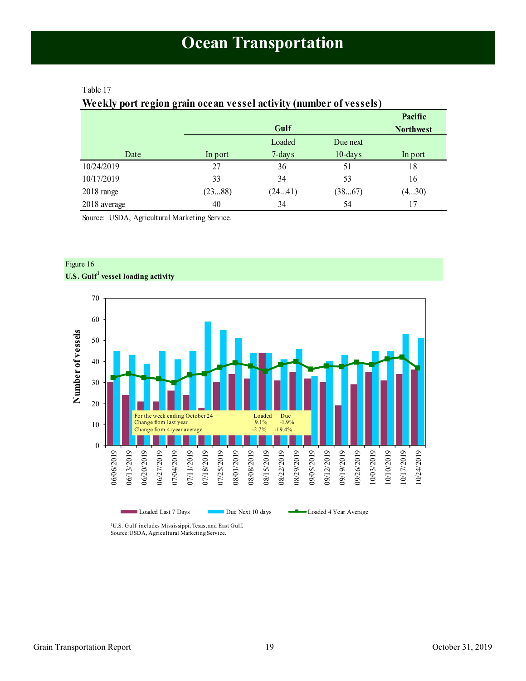# <span id="page-18-1"></span><span id="page-18-0"></span>Table 17

Figure 16

# **Weekly port region grain ocean vessel activity (number of vessels)**

|                      |         |        |            | Pacific          |
|----------------------|---------|--------|------------|------------------|
|                      |         | Gulf   |            | <b>Northwest</b> |
|                      |         | Loaded | Due next   |                  |
| Date                 | In port | 7-days | $10$ -days | In port          |
| 10/24/2019           | 27      | 36     | 51         | 18               |
| 10/17/2019           | 33      | 34     | 53         | 16               |
| $2018 \text{ range}$ | (2388)  | (2441) | (3867)     | (430)            |
| 2018 average         | 40      | 34     | 54         | 17               |

Source: USDA, Agricultural Marketing Service.



<sup>1</sup>U.S. Gulf includes Mississippi, Texas, and East Gulf. Source:USDA, Agricultural Marketing Service.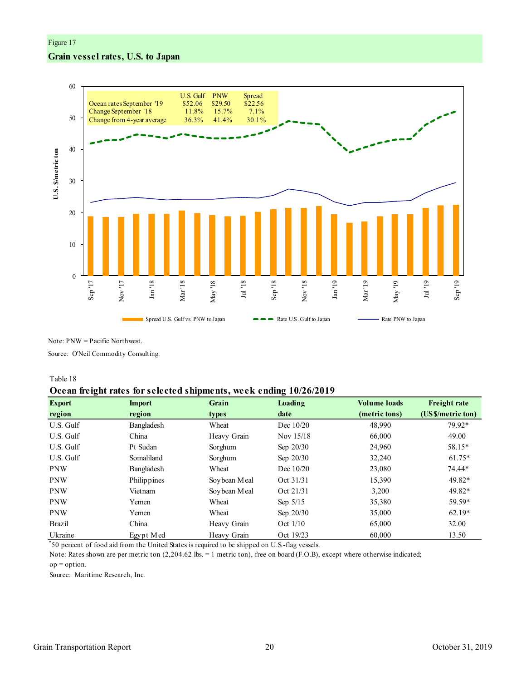# Figure 17 **Grain vessel rates, U.S. to Japan**



Note: PNW = Pacific Northwest.

Source: O'Neil Commodity Consulting.

#### Table 18

#### **Ocean freight rates for selected shipments, week ending 10/26/2019**

| ັ<br><b>Export</b> | <b>Import</b> | Grain        | Loading     | <b>Volume loads</b> | <b>Freight rate</b> |
|--------------------|---------------|--------------|-------------|---------------------|---------------------|
| region             | region        | types        | date        | (metric tons)       | (US \$/metric ton)  |
| U.S. Gulf          | Bangladesh    | Wheat        | Dec 10/20   | 48,990              | 79.92*              |
| U.S. Gulf          | China         | Heavy Grain  | Nov $15/18$ | 66,000              | 49.00               |
| U.S. Gulf          | Pt Sudan      | Sorghum      | Sep $20/30$ | 24,960              | 58.15*              |
| U.S. Gulf          | Somaliland    | Sorghum      | Sep $20/30$ | 32,240              | $61.75*$            |
| <b>PNW</b>         | Bangladesh    | Wheat        | Dec $10/20$ | 23,080              | 74.44*              |
| <b>PNW</b>         | Philippines   | Soybean Meal | Oct 31/31   | 15,390              | 49.82*              |
| <b>PNW</b>         | Vietnam       | Soybean Meal | Oct 21/31   | 3,200               | 49.82*              |
| <b>PNW</b>         | Yemen         | Wheat        | Sep $5/15$  | 35,380              | 59.59*              |
| <b>PNW</b>         | Yemen         | Wheat        | Sep $20/30$ | 35,000              | $62.19*$            |
| <b>Brazil</b>      | China         | Heavy Grain  | Oct $1/10$  | 65,000              | 32.00               |
| Ukraine            | Egypt Med     | Heavy Grain  | Oct 19/23   | 60,000              | 13.50               |

\* 50 percent of food aid from the United States is required to be shipped on U.S.-flag vessels.

op = option. Note: Rates shown are per metric ton (2,204.62 lbs. = 1 metric ton), free on board (F.O.B), except where otherwise indicated;

Source: Maritime Research, Inc.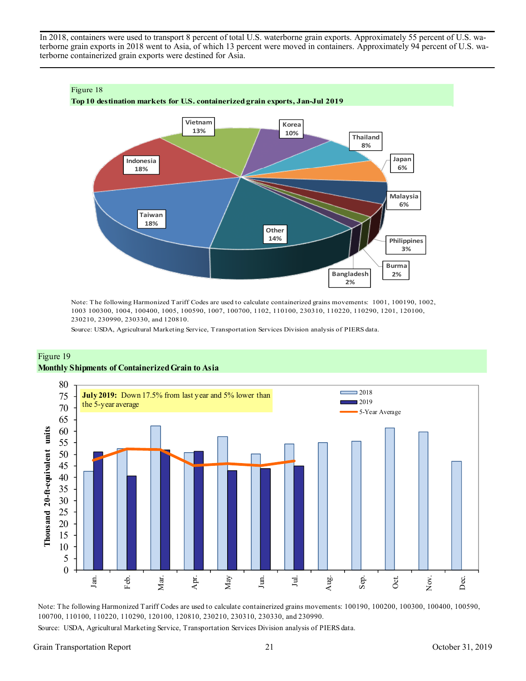In 2018, containers were used to transport 8 percent of total U.S. waterborne grain exports. Approximately 55 percent of U.S. waterborne grain exports in 2018 went to Asia, of which 13 percent were moved in containers. Approximately 94 percent of U.S. waterborne containerized grain exports were destined for Asia.



**Top 10 destination markets for U.S. containerized grain exports, Jan-Jul 2019**



Note: The following Harmonized Tariff Codes are used to calculate containerized grains movements: 1001, 100190, 1002, 1003 100300, 1004, 100400, 1005, 100590, 1007, 100700, 1102, 110100, 230310, 110220, 110290, 1201, 120100, 230210, 230990, 230330, and 120810.

Source: USDA, Agricultural Marketing Service, Transportation Services Division analysis of PIERS data.





Note: The following Harmonized Tariff Codes are used to calculate containerized grains movements: 100190, 100200, 100300, 100400, 100590, 100700, 110100, 110220, 110290, 120100, 120810, 230210, 230310, 230330, and 230990.

Source: USDA, Agricultural Marketing Service, Transportation Services Division analysis of PIERS data.